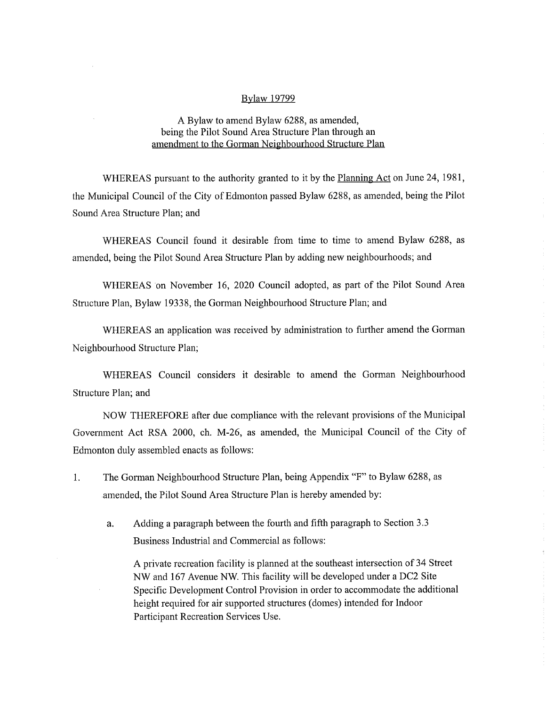# Bylaw 19799

# A Bylaw to amend Bylaw 6288, as amended, being the Pilot Sound Area Structure Plan through an amendment to the Gorman Neighbourhood Structure Plan

WHEREAS pursuant to the authority granted to it by the Planning Act on June 24, 1981, the Municipal Council of the City of Edmonton passed Bylaw 6288, as amended, being the Pilot Sound Area Structure Plan; and

WHEREAS Council found it desirable from time to time to amend Bylaw 6288, as amended, being the Pilot Sound Area Structure Plan by adding new neighbourhoods; and

WHEREAS on November 16, 2020 Council adopted, as part of the Pilot Sound Area Structure Plan, Bylaw 19338, the Gorman Neighbourhood Structure Plan; and

WHEREAS an application was received by administration to further amend the Gorman Neighbourhood Structure Plan;

WHEREAS Council considers it desirable to amend the Gorman Neighbourhood Structure Plan; and

NOW THEREFORE after due compliance with the relevant provisions of the Municipal Government Act RSA 2000, ch. M-26, as amended, the Municipal Council of the City of Edmonton duly assembled enacts as follows:

- 1. The Gorman Neighbourhood Structure Plan, being Appendix "F" to Bylaw 6288, as amended, the Pilot Sound Area Structure Plan is hereby amended by:
	- a. Adding a paragraph between the fourth and fifth paragraph to Section 3.3 Business Industrial and Commercial as follows:

A private recreation facility is planned at the southeast intersection of 34 Street NW and 167 Avenue NW. This facility will be developed under a DC2 Site Specific Development Control Provision in order to accommodate the additional height required for air supported structures (domes) intended for Indoor Participant Recreation Services Use.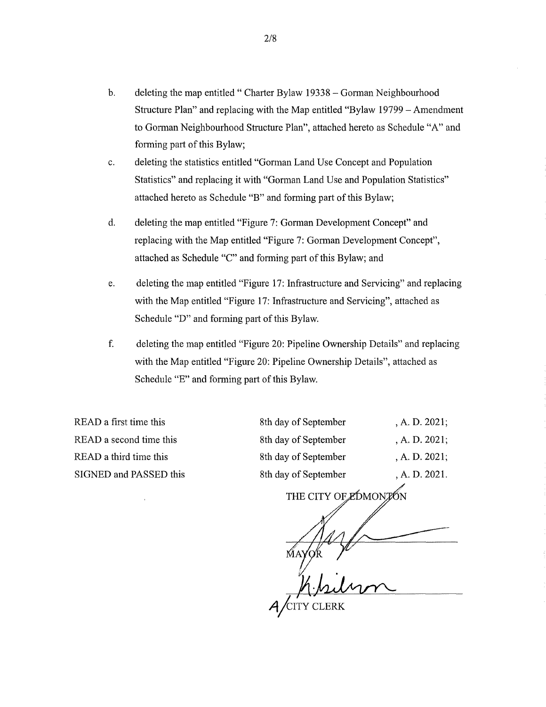- b. deleting the map entitled " Charter Bylaw 19338 Gorman Neighbourhood Structure Plan" and replacing with the Map entitled "Bylaw 19799 — Amendment to Gorman Neighbourhood Structure Plan", attached hereto as Schedule "A" and forming part of this Bylaw;
- c. deleting the statistics entitled "Gorman Land Use Concept and Population Statistics" and replacing it with "Gorman Land Use and Population Statistics" attached hereto as Schedule "B" and forming part of this Bylaw;
- d. deleting the map entitled "Figure 7: Gorman Development Concept" and replacing with the Map entitled "Figure 7: Gorman Development Concept", attached as Schedule "C" and forming part of this Bylaw; and
- e. deleting the map entitled "Figure 17: Infrastructure and Servicing" and replacing with the Map entitled "Figure 17: Infrastructure and Servicing", attached as Schedule "D" and forming part of this Bylaw.
- f. deleting the map entitled "Figure 20: Pipeline Ownership Details" and replacing with the Map entitled "Figure 20: Pipeline Ownership Details", attached as Schedule "E" and forming part of this Bylaw.

READ a first time this READ a second time this READ a third time this SIGNED and PASSED this

| , A. D. 2021;    |
|------------------|
| , A. D. $2021$ ; |
| , A. D. $2021$ ; |
| , A. D. 2021.    |
|                  |

THE CITY OF EDMONTON

 $A$  CITY CLERK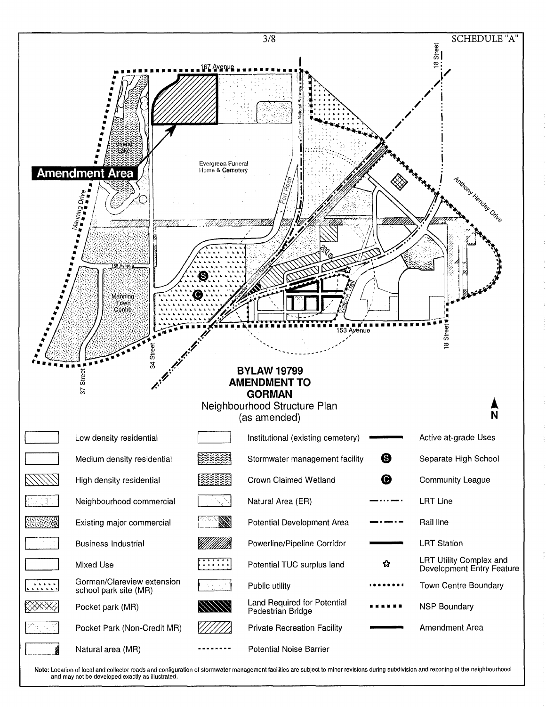

Note: Location of local and collector roads and configuration of stormwater management facilities are subject to minor revisions during subdivision and rezoning of the neighbourhood and may not be developed exactly as illustrated.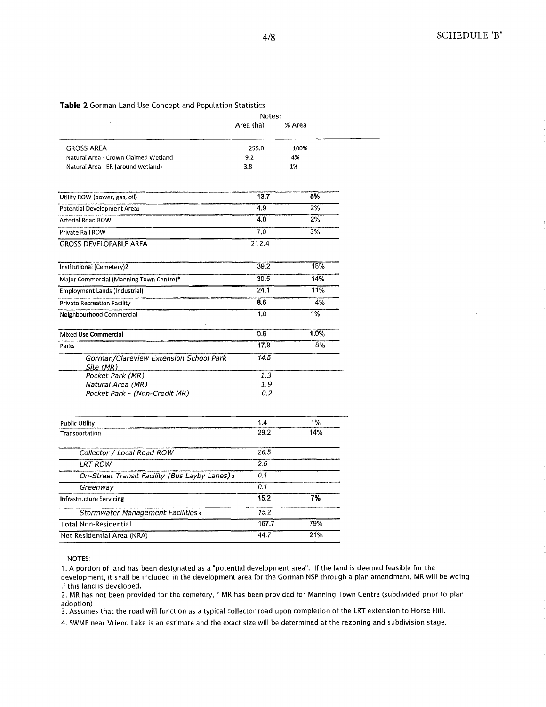## **Table 2** Gorman Land Use Concept and Population Statistics

|                                                     | Notes:    |        |
|-----------------------------------------------------|-----------|--------|
|                                                     | Area (ha) | % Area |
| <b>GROSS AREA</b>                                   | 255.0     | 100%   |
| Natural Area - Crown Claimed Wetland                | 9.2       | 4%     |
| Natural Area - ER (around wetland)                  | 3.8       | 1%     |
| Utility ROW (power, gas, oil)                       | 13.7      | 5%     |
| Potential Development Arear                         | 4.9       | 2%     |
| Arterial Road ROW                                   | 4.0       | 2%     |
| Private Rail ROW                                    | 7.0       | 3%     |
| <b>GROSS DEVELOPABLE AREA</b>                       | 212.4     |        |
| Institutional (Cemetery)2                           | 39.2      | 18%    |
| Major Commercial (Manning Town Centre)*             | 30.5      | 14%    |
| Employment Lands (Industrial)                       | 24.1      | 11%    |
| <b>Private Recreation Facility</b>                  | 8.6       | 4%     |
| Neighbourhood Commercial                            | 1.0       | 1%     |
| Mixed Use Commercial                                | 0.6       | 1.0%   |
| Parks                                               | 17.9      | 8%     |
| Gorman/Clareview Extension School Park<br>Site (MR) | 14.5      |        |
| Pocket Park (MR)                                    | 1.3       |        |
| Natural Area (MR)                                   | 1.9       |        |
| Pocket Park - (Non-Credit MR)                       | 0.2       |        |
| <b>Public Utility</b>                               | 1.4       | 1%     |
| Transportation                                      | 29.2      | 14%    |
| Collector / Local Road ROW                          | 26.5      |        |
| <b>LRT ROW</b>                                      | 2.5       |        |
| On-Street Transit Facility (Bus Layby Lanes) 3      | 0.1       |        |
| Greenway                                            | 0.1       |        |
| <b>Infrastructure Servicing</b>                     | 15.2      | 7%     |
| Stormwater Management Facilities 4                  | 15.2      |        |
| <b>Total Non-Residential</b>                        | 167.7     | 79%    |
| Net Residential Area (NRA)                          | 44.7      | 21%    |
|                                                     |           |        |

NOTES:

1. A portion of land has been designated as a "potential development area". If the land is deemed feasible for the development, it shall be included in the development area for the Gorman NSP through a plan amendment. MR **will** be woing if this land is developed.

2. MR has not been provided for the cemetery, \* MR has been provided for Manning Town Centre (subdivided prior to plan adoption)

3. Assumes that the road will function as a typical collector road upon completion of the LRT extension to Horse Hill.

4. SWMF near Vriend Lake is an estimate and the exact size will be determined at the rezoning and subdivision stage.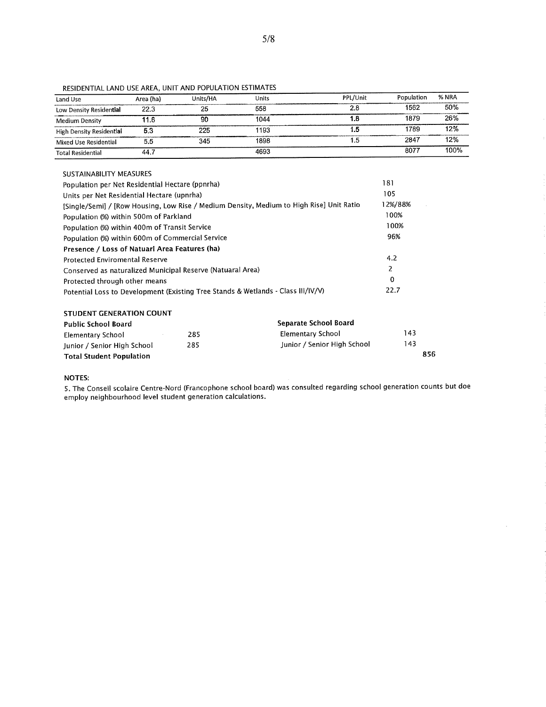| Land Use                 | Area (ha) | Units/HA | <b>Units</b> | PPL/Unit | Population | % NRA |
|--------------------------|-----------|----------|--------------|----------|------------|-------|
| Low Density Residential  | 22.3      | 25       | 558          | 2.8      | 1562       | 50%   |
| <b>Medium Density</b>    | 11.6      | 90       | 1044         | 1.8      | 1879       | 26%   |
| High Density Residential | 5.3       | 225      | 1193         | 1.5      | 1789       | 12%   |
| Mixed Use Residential    | 5.5       | 345      | 1898         | 1.5      | 2847       | 12%   |
| <b>Total Residential</b> | 44.7      |          | 4693         |          | 8077       | 100%  |

RESIDENTIAL LAND USE AREA, UNIT AND POPULATION ESTIMATES

### SUSTAINABILITY MEASURES

| Population per Net Residential Hectare (ppnrha)                                          | 181     |
|------------------------------------------------------------------------------------------|---------|
| Units per Net Residential Hectare (upnrha)                                               | 105     |
| [Single/Semi] / [Row Housing, Low Rise / Medium Density, Medium to High Rise] Unit Ratio | 12%/88% |
| Population (%) within 500m of Parkland                                                   | 100%    |
| Population (%) within 400m of Transit Service                                            | 100%    |
| Population (%) within 600m of Commercial Service                                         | 96%     |
| Presence / Loss of Natuarl Area Features (ha)                                            |         |
| Protected Enviromental Reserve                                                           | 4.2     |
| Conserved as naturalized Municipal Reserve (Natuaral Area)                               | 2       |
| Protected through other means                                                            | 0       |
| Potential Loss to Development (Existing Tree Stands & Wetlands - Class III/IV/V)         | 22.7    |

#### **STUDENT GENERATION COUNT**

| Public School Board             |     | Separate School Board       |     |
|---------------------------------|-----|-----------------------------|-----|
| Elementary School               | 285 | Elementary School           | 143 |
| Junior / Senior High School     | 285 | Junior / Senior High School | 143 |
| <b>Total Student Population</b> |     |                             | 856 |

#### **NOTES:**

5. The Conseil scolaire Centre-Nord (Francophone school board) was consulted regarding school generation counts but doe employ neighbourhood level student generation calculations.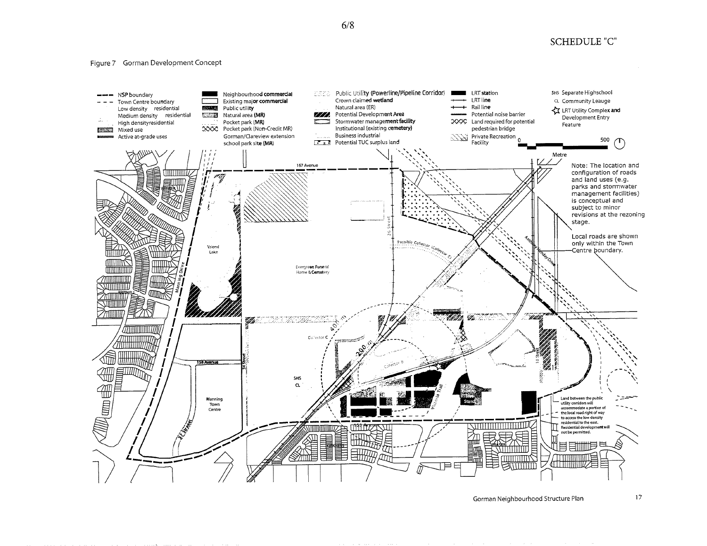**SCHEDULE "C"** 

#### Figure 7 Gorman Development Concept



Gorman Neighbourhood Structure Plan

 $17$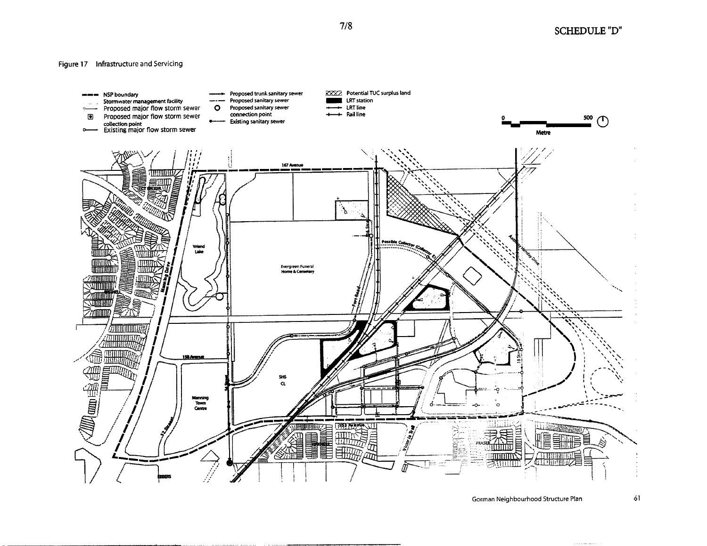Figure 17 Infrastructure and Servicing



Gorman Neighbourhood Structure Plan 51